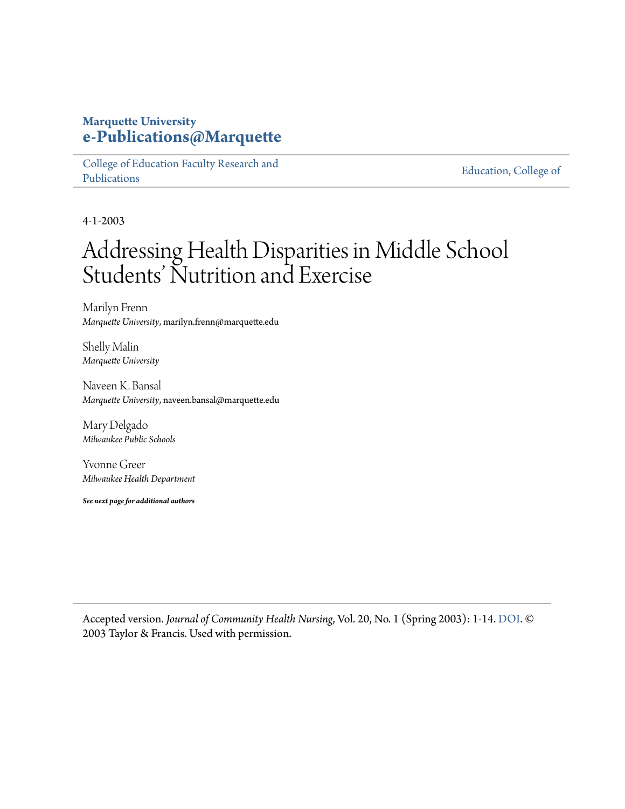## **Marquette University [e-Publications@Marquette](https://epublications.marquette.edu)**

[College of Education Faculty Research and](https://epublications.marquette.edu/edu_fac) [Publications](https://epublications.marquette.edu/edu_fac)

[Education, College of](https://epublications.marquette.edu/education)

4-1-2003

# Addressing Health Disparities in Middle School Students' Nutrition and Exercise

Marilyn Frenn *Marquette University*, marilyn.frenn@marquette.edu

Shelly Malin *Marquette University*

Naveen K. Bansal *Marquette University*, naveen.bansal@marquette.edu

Mary Delgado *Milwaukee Public Schools*

Yvonne Greer *Milwaukee Health Department*

*See next page for additional authors*

Accepted version. *Journal of Community Health Nursing*, Vol. 20, No. 1 (Spring 2003): 1-14. [DOI.](http://dx.doi.org/10.1207/S15327655JCHN2001_01) © 2003 Taylor & Francis. Used with permission.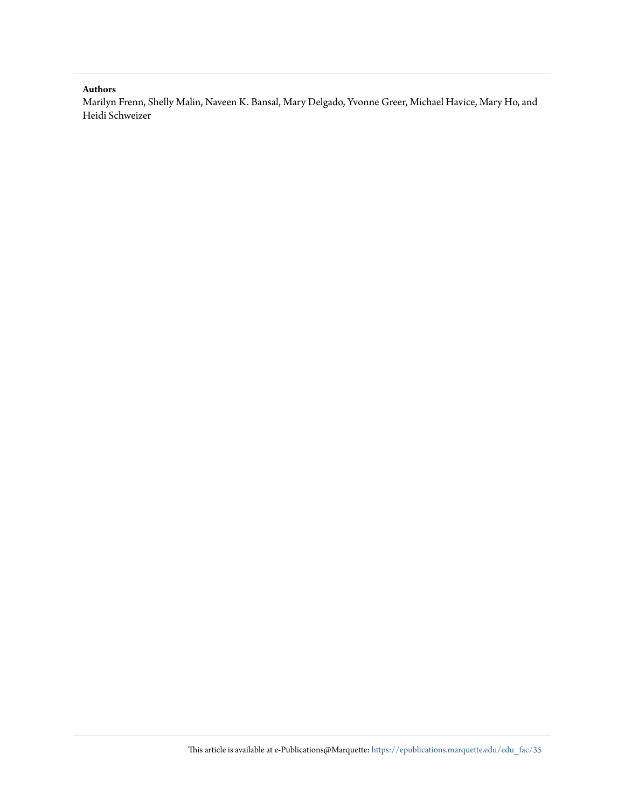#### **Authors**

Marilyn Frenn, Shelly Malin, Naveen K. Bansal, Mary Delgado, Yvonne Greer, Michael Havice, Mary Ho, and Heidi Schweizer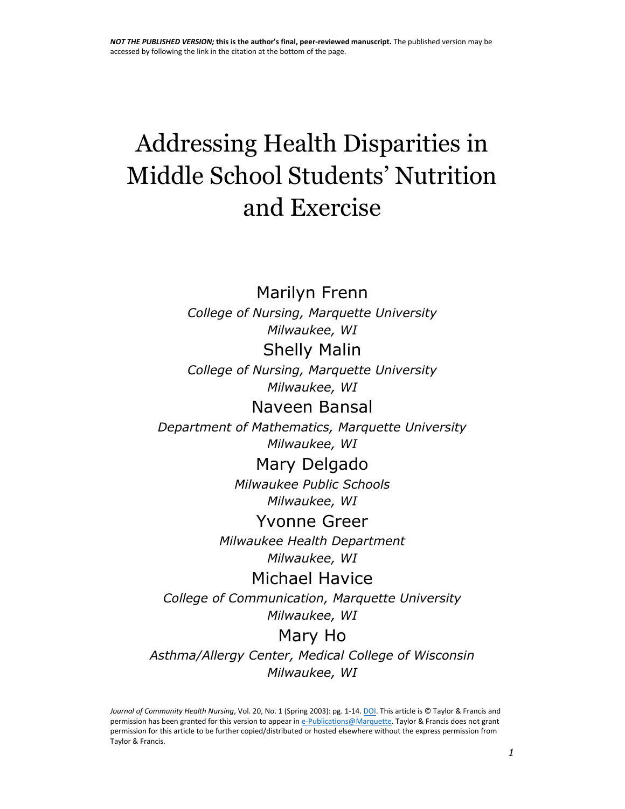# Addressing Health Disparities in Middle School Students' Nutrition and Exercise

## Marilyn Frenn

*College of Nursing, Marquette University Milwaukee, WI*

# Shelly Malin

*College of Nursing, Marquette University Milwaukee, WI*

#### Naveen Bansal

*Department of Mathematics, Marquette University Milwaukee, WI*

## Mary Delgado

*Milwaukee Public Schools Milwaukee, WI*

#### Yvonne Greer

*Milwaukee Health Department Milwaukee, WI*

#### Michael Havice

*College of Communication, Marquette University Milwaukee, WI*

#### Mary Ho

*Asthma/Allergy Center, Medical College of Wisconsin Milwaukee, WI*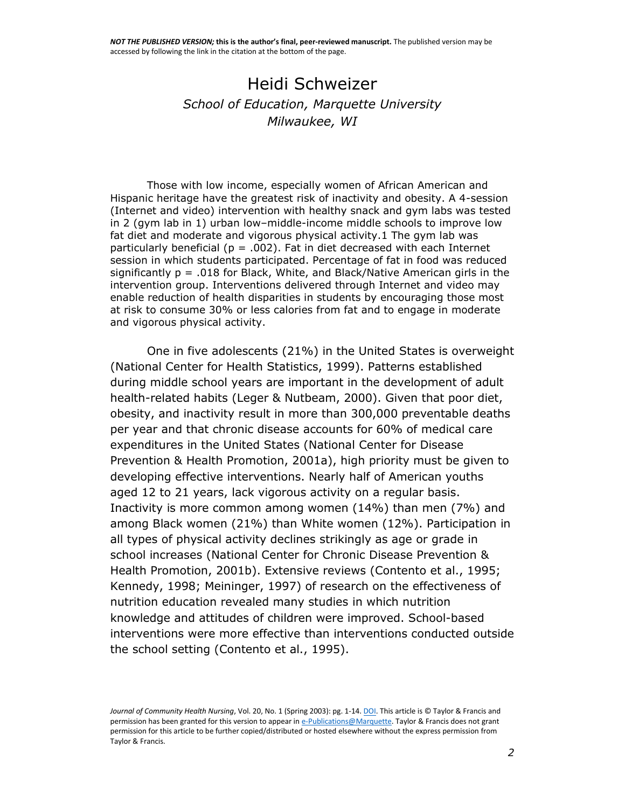## Heidi Schweizer *School of Education, Marquette University Milwaukee, WI*

Those with low income, especially women of African American and Hispanic heritage have the greatest risk of inactivity and obesity. A 4-session (Internet and video) intervention with healthy snack and gym labs was tested in 2 (gym lab in 1) urban low–middle-income middle schools to improve low fat diet and moderate and vigorous physical activity.1 The gym lab was particularly beneficial ( $p = .002$ ). Fat in diet decreased with each Internet session in which students participated. Percentage of fat in food was reduced significantly  $p = .018$  for Black, White, and Black/Native American girls in the intervention group. Interventions delivered through Internet and video may enable reduction of health disparities in students by encouraging those most at risk to consume 30% or less calories from fat and to engage in moderate and vigorous physical activity.

One in five adolescents (21%) in the United States is overweight (National Center for Health Statistics, 1999). Patterns established during middle school years are important in the development of adult health-related habits (Leger & Nutbeam, 2000). Given that poor diet, obesity, and inactivity result in more than 300,000 preventable deaths per year and that chronic disease accounts for 60% of medical care expenditures in the United States (National Center for Disease Prevention & Health Promotion, 2001a), high priority must be given to developing effective interventions. Nearly half of American youths aged 12 to 21 years, lack vigorous activity on a regular basis. Inactivity is more common among women (14%) than men (7%) and among Black women (21%) than White women (12%). Participation in all types of physical activity declines strikingly as age or grade in school increases (National Center for Chronic Disease Prevention & Health Promotion, 2001b). Extensive reviews (Contento et al., 1995; Kennedy, 1998; Meininger, 1997) of research on the effectiveness of nutrition education revealed many studies in which nutrition knowledge and attitudes of children were improved. School-based interventions were more effective than interventions conducted outside the school setting (Contento et al., 1995).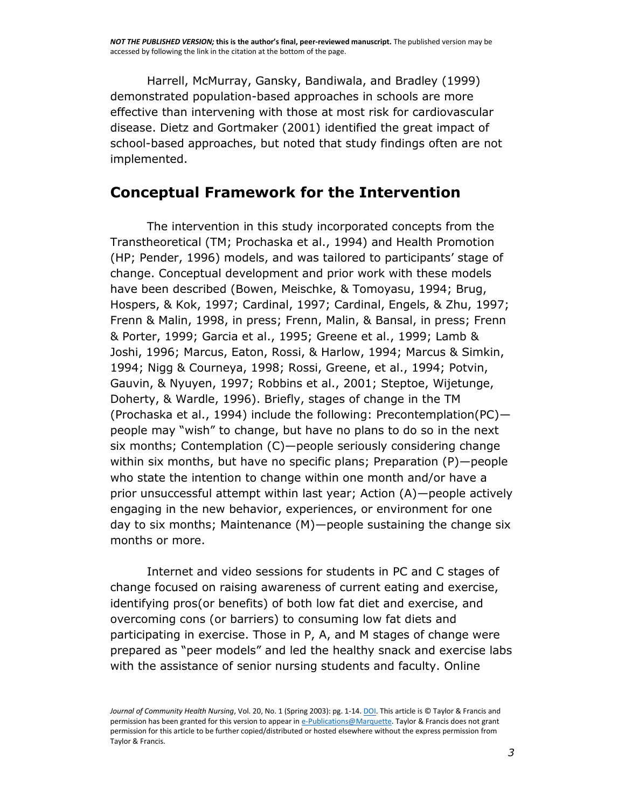Harrell, McMurray, Gansky, Bandiwala, and Bradley (1999) demonstrated population-based approaches in schools are more effective than intervening with those at most risk for cardiovascular disease. Dietz and Gortmaker (2001) identified the great impact of school-based approaches, but noted that study findings often are not implemented.

## **Conceptual Framework for the Intervention**

The intervention in this study incorporated concepts from the Transtheoretical (TM; Prochaska et al., 1994) and Health Promotion (HP; Pender, 1996) models, and was tailored to participants' stage of change. Conceptual development and prior work with these models have been described (Bowen, Meischke, & Tomoyasu, 1994; Brug, Hospers, & Kok, 1997; Cardinal, 1997; Cardinal, Engels, & Zhu, 1997; Frenn & Malin, 1998, in press; Frenn, Malin, & Bansal, in press; Frenn & Porter, 1999; Garcia et al., 1995; Greene et al., 1999; Lamb & Joshi, 1996; Marcus, Eaton, Rossi, & Harlow, 1994; Marcus & Simkin, 1994; Nigg & Courneya, 1998; Rossi, Greene, et al., 1994; Potvin, Gauvin, & Nyuyen, 1997; Robbins et al., 2001; Steptoe, Wijetunge, Doherty, & Wardle, 1996). Briefly, stages of change in the TM (Prochaska et al., 1994) include the following: Precontemplation(PC) people may "wish" to change, but have no plans to do so in the next six months; Contemplation (C)—people seriously considering change within six months, but have no specific plans; Preparation (P)—people who state the intention to change within one month and/or have a prior unsuccessful attempt within last year; Action (A)—people actively engaging in the new behavior, experiences, or environment for one day to six months; Maintenance (M)—people sustaining the change six months or more.

Internet and video sessions for students in PC and C stages of change focused on raising awareness of current eating and exercise, identifying pros(or benefits) of both low fat diet and exercise, and overcoming cons (or barriers) to consuming low fat diets and participating in exercise. Those in P, A, and M stages of change were prepared as "peer models" and led the healthy snack and exercise labs with the assistance of senior nursing students and faculty. Online

*Journal of Community Health Nursing*, Vol. 20, No. 1 (Spring 2003): pg. 1-14[. DOI.](http://dx.doi.org/10.1207/S15327655JCHN2001_01) This article is © Taylor & Francis and permission has been granted for this version to appear i[n e-Publications@Marquette.](http://epublications.marquette.edu/) Taylor & Francis does not grant permission for this article to be further copied/distributed or hosted elsewhere without the express permission from Taylor & Francis.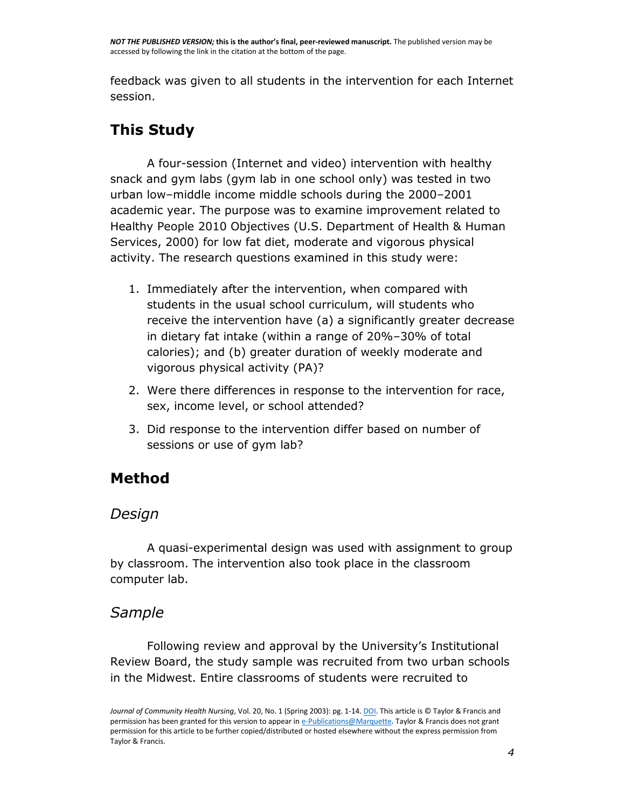feedback was given to all students in the intervention for each Internet session.

# **This Study**

A four-session (Internet and video) intervention with healthy snack and gym labs (gym lab in one school only) was tested in two urban low–middle income middle schools during the 2000–2001 academic year. The purpose was to examine improvement related to Healthy People 2010 Objectives (U.S. Department of Health & Human Services, 2000) for low fat diet, moderate and vigorous physical activity. The research questions examined in this study were:

- 1. Immediately after the intervention, when compared with students in the usual school curriculum, will students who receive the intervention have (a) a significantly greater decrease in dietary fat intake (within a range of 20%–30% of total calories); and (b) greater duration of weekly moderate and vigorous physical activity (PA)?
- 2. Were there differences in response to the intervention for race, sex, income level, or school attended?
- 3. Did response to the intervention differ based on number of sessions or use of gym lab?

## **Method**

## *Design*

A quasi-experimental design was used with assignment to group by classroom. The intervention also took place in the classroom computer lab.

## *Sample*

Following review and approval by the University's Institutional Review Board, the study sample was recruited from two urban schools in the Midwest. Entire classrooms of students were recruited to

*Journal of Community Health Nursing*, Vol. 20, No. 1 (Spring 2003): pg. 1-14[. DOI.](http://dx.doi.org/10.1207/S15327655JCHN2001_01) This article is © Taylor & Francis and permission has been granted for this version to appear i[n e-Publications@Marquette.](http://epublications.marquette.edu/) Taylor & Francis does not grant permission for this article to be further copied/distributed or hosted elsewhere without the express permission from Taylor & Francis.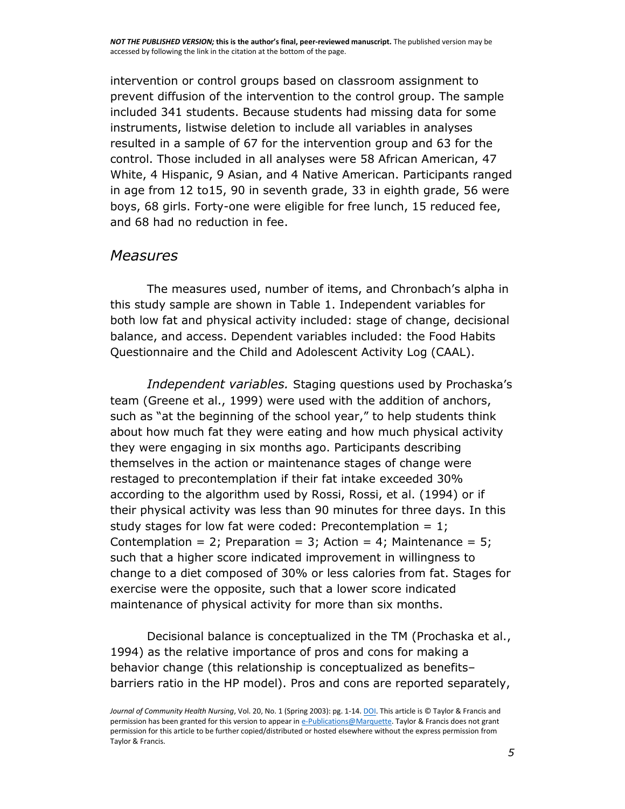intervention or control groups based on classroom assignment to prevent diffusion of the intervention to the control group. The sample included 341 students. Because students had missing data for some instruments, listwise deletion to include all variables in analyses resulted in a sample of 67 for the intervention group and 63 for the control. Those included in all analyses were 58 African American, 47 White, 4 Hispanic, 9 Asian, and 4 Native American. Participants ranged in age from 12 to15, 90 in seventh grade, 33 in eighth grade, 56 were boys, 68 girls. Forty-one were eligible for free lunch, 15 reduced fee, and 68 had no reduction in fee.

#### *Measures*

The measures used, number of items, and Chronbach's alpha in this study sample are shown in Table 1. Independent variables for both low fat and physical activity included: stage of change, decisional balance, and access. Dependent variables included: the Food Habits Questionnaire and the Child and Adolescent Activity Log (CAAL).

*Independent variables.* Staging questions used by Prochaska's team (Greene et al., 1999) were used with the addition of anchors, such as "at the beginning of the school year," to help students think about how much fat they were eating and how much physical activity they were engaging in six months ago. Participants describing themselves in the action or maintenance stages of change were restaged to precontemplation if their fat intake exceeded 30% according to the algorithm used by Rossi, Rossi, et al. (1994) or if their physical activity was less than 90 minutes for three days. In this study stages for low fat were coded: Precontemplation  $= 1$ ; Contemplation = 2; Preparation = 3; Action = 4; Maintenance = 5; such that a higher score indicated improvement in willingness to change to a diet composed of 30% or less calories from fat. Stages for exercise were the opposite, such that a lower score indicated maintenance of physical activity for more than six months.

Decisional balance is conceptualized in the TM (Prochaska et al., 1994) as the relative importance of pros and cons for making a behavior change (this relationship is conceptualized as benefits– barriers ratio in the HP model). Pros and cons are reported separately,

*Journal of Community Health Nursing*, Vol. 20, No. 1 (Spring 2003): pg. 1-14[. DOI.](http://dx.doi.org/10.1207/S15327655JCHN2001_01) This article is © Taylor & Francis and permission has been granted for this version to appear i[n e-Publications@Marquette.](http://epublications.marquette.edu/) Taylor & Francis does not grant permission for this article to be further copied/distributed or hosted elsewhere without the express permission from Taylor & Francis.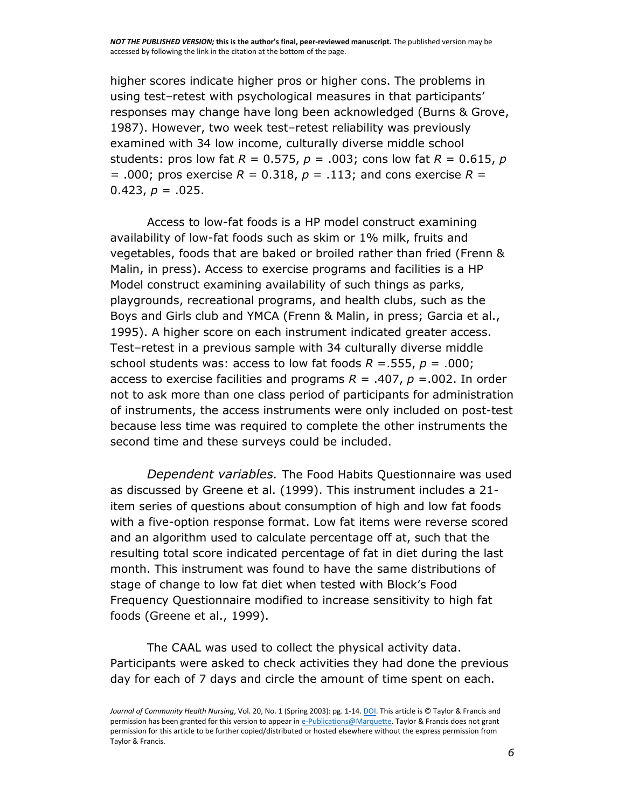higher scores indicate higher pros or higher cons. The problems in using test–retest with psychological measures in that participants' responses may change have long been acknowledged (Burns & Grove, 1987). However, two week test–retest reliability was previously examined with 34 low income, culturally diverse middle school students: pros low fat  $R = 0.575$ ,  $p = .003$ ; cons low fat  $R = 0.615$ ,  $p = 0.615$ = .000; pros exercise *R* = 0.318, *p* = .113; and cons exercise *R* = 0.423,  $p = .025$ .

Access to low-fat foods is a HP model construct examining availability of low-fat foods such as skim or 1% milk, fruits and vegetables, foods that are baked or broiled rather than fried (Frenn & Malin, in press). Access to exercise programs and facilities is a HP Model construct examining availability of such things as parks, playgrounds, recreational programs, and health clubs, such as the Boys and Girls club and YMCA (Frenn & Malin, in press; Garcia et al., 1995). A higher score on each instrument indicated greater access. Test–retest in a previous sample with 34 culturally diverse middle school students was: access to low fat foods *R* =.555, *p* = .000; access to exercise facilities and programs *R* = .407, *p* =.002. In order not to ask more than one class period of participants for administration of instruments, the access instruments were only included on post-test because less time was required to complete the other instruments the second time and these surveys could be included.

*Dependent variables.* The Food Habits Questionnaire was used as discussed by Greene et al. (1999). This instrument includes a 21 item series of questions about consumption of high and low fat foods with a five-option response format. Low fat items were reverse scored and an algorithm used to calculate percentage off at, such that the resulting total score indicated percentage of fat in diet during the last month. This instrument was found to have the same distributions of stage of change to low fat diet when tested with Block's Food Frequency Questionnaire modified to increase sensitivity to high fat foods (Greene et al., 1999).

The CAAL was used to collect the physical activity data. Participants were asked to check activities they had done the previous day for each of 7 days and circle the amount of time spent on each.

*Journal of Community Health Nursing*, Vol. 20, No. 1 (Spring 2003): pg. 1-14[. DOI.](http://dx.doi.org/10.1207/S15327655JCHN2001_01) This article is © Taylor & Francis and permission has been granted for this version to appear i[n e-Publications@Marquette.](http://epublications.marquette.edu/) Taylor & Francis does not grant permission for this article to be further copied/distributed or hosted elsewhere without the express permission from Taylor & Francis.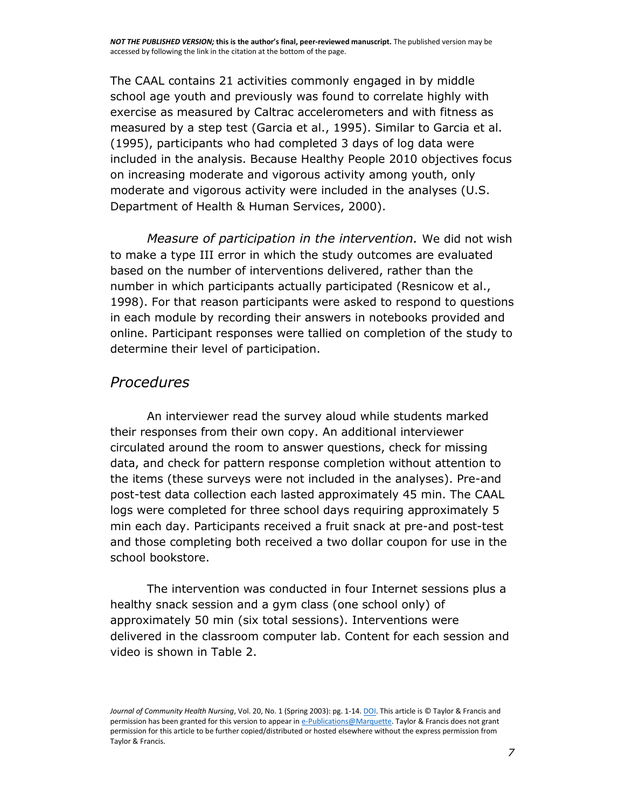The CAAL contains 21 activities commonly engaged in by middle school age youth and previously was found to correlate highly with exercise as measured by Caltrac accelerometers and with fitness as measured by a step test (Garcia et al., 1995). Similar to Garcia et al. (1995), participants who had completed 3 days of log data were included in the analysis. Because Healthy People 2010 objectives focus on increasing moderate and vigorous activity among youth, only moderate and vigorous activity were included in the analyses (U.S. Department of Health & Human Services, 2000).

*Measure of participation in the intervention.* We did not wish to make a type III error in which the study outcomes are evaluated based on the number of interventions delivered, rather than the number in which participants actually participated (Resnicow et al., 1998). For that reason participants were asked to respond to questions in each module by recording their answers in notebooks provided and online. Participant responses were tallied on completion of the study to determine their level of participation.

## *Procedures*

An interviewer read the survey aloud while students marked their responses from their own copy. An additional interviewer circulated around the room to answer questions, check for missing data, and check for pattern response completion without attention to the items (these surveys were not included in the analyses). Pre-and post-test data collection each lasted approximately 45 min. The CAAL logs were completed for three school days requiring approximately 5 min each day. Participants received a fruit snack at pre-and post-test and those completing both received a two dollar coupon for use in the school bookstore.

The intervention was conducted in four Internet sessions plus a healthy snack session and a gym class (one school only) of approximately 50 min (six total sessions). Interventions were delivered in the classroom computer lab. Content for each session and video is shown in Table 2.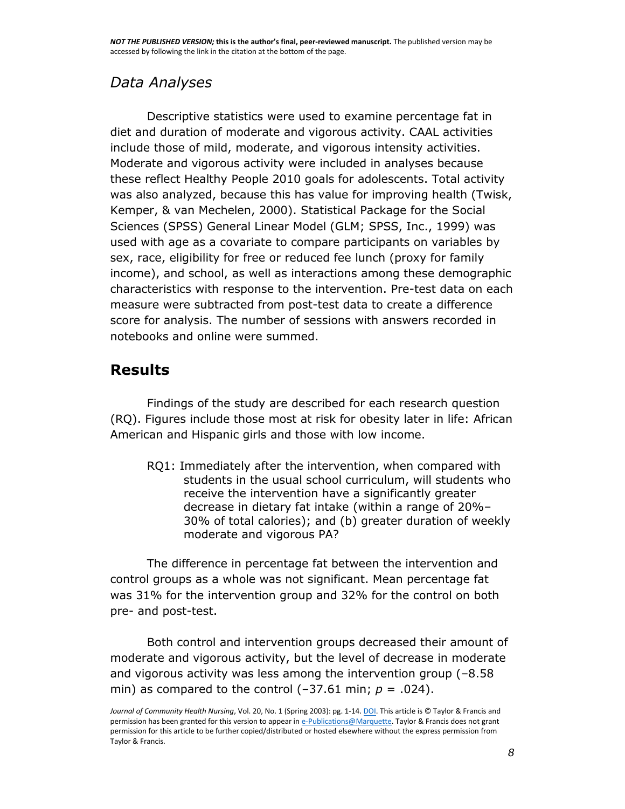## *Data Analyses*

Descriptive statistics were used to examine percentage fat in diet and duration of moderate and vigorous activity. CAAL activities include those of mild, moderate, and vigorous intensity activities. Moderate and vigorous activity were included in analyses because these reflect Healthy People 2010 goals for adolescents. Total activity was also analyzed, because this has value for improving health (Twisk, Kemper, & van Mechelen, 2000). Statistical Package for the Social Sciences (SPSS) General Linear Model (GLM; SPSS, Inc., 1999) was used with age as a covariate to compare participants on variables by sex, race, eligibility for free or reduced fee lunch (proxy for family income), and school, as well as interactions among these demographic characteristics with response to the intervention. Pre-test data on each measure were subtracted from post-test data to create a difference score for analysis. The number of sessions with answers recorded in notebooks and online were summed.

# **Results**

Findings of the study are described for each research question (RQ). Figures include those most at risk for obesity later in life: African American and Hispanic girls and those with low income.

RQ1: Immediately after the intervention, when compared with students in the usual school curriculum, will students who receive the intervention have a significantly greater decrease in dietary fat intake (within a range of 20%– 30% of total calories); and (b) greater duration of weekly moderate and vigorous PA?

The difference in percentage fat between the intervention and control groups as a whole was not significant. Mean percentage fat was 31% for the intervention group and 32% for the control on both pre- and post-test.

Both control and intervention groups decreased their amount of moderate and vigorous activity, but the level of decrease in moderate and vigorous activity was less among the intervention group (–8.58 min) as compared to the control  $(-37.61 \text{ min}; p = .024)$ .

*Journal of Community Health Nursing*, Vol. 20, No. 1 (Spring 2003): pg. 1-14[. DOI.](http://dx.doi.org/10.1207/S15327655JCHN2001_01) This article is © Taylor & Francis and permission has been granted for this version to appear i[n e-Publications@Marquette.](http://epublications.marquette.edu/) Taylor & Francis does not grant permission for this article to be further copied/distributed or hosted elsewhere without the express permission from Taylor & Francis.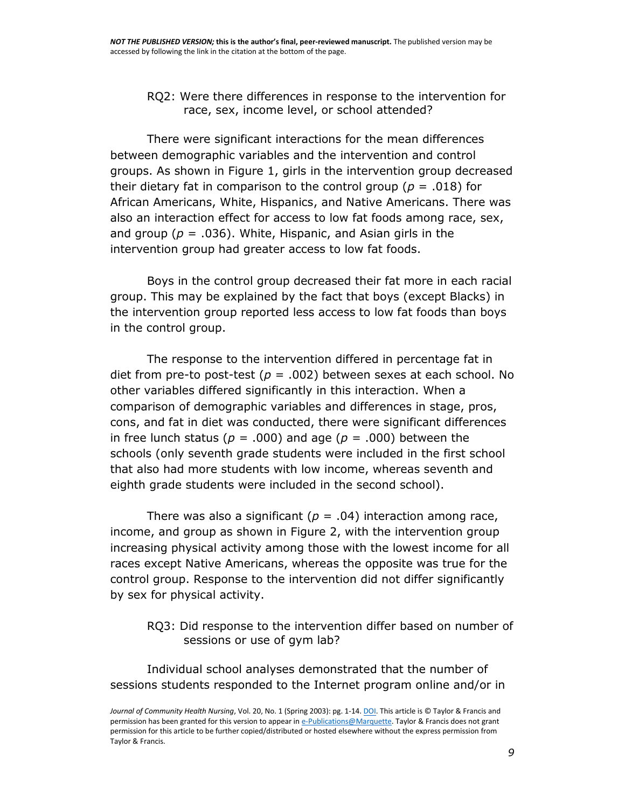RQ2: Were there differences in response to the intervention for race, sex, income level, or school attended?

There were significant interactions for the mean differences between demographic variables and the intervention and control groups. As shown in Figure 1, girls in the intervention group decreased their dietary fat in comparison to the control group (*p* = .018) for African Americans, White, Hispanics, and Native Americans. There was also an interaction effect for access to low fat foods among race, sex, and group ( $p = .036$ ). White, Hispanic, and Asian girls in the intervention group had greater access to low fat foods.

Boys in the control group decreased their fat more in each racial group. This may be explained by the fact that boys (except Blacks) in the intervention group reported less access to low fat foods than boys in the control group.

The response to the intervention differed in percentage fat in diet from pre-to post-test (*p* = .002) between sexes at each school. No other variables differed significantly in this interaction. When a comparison of demographic variables and differences in stage, pros, cons, and fat in diet was conducted, there were significant differences in free lunch status ( $p = .000$ ) and age ( $p = .000$ ) between the schools (only seventh grade students were included in the first school that also had more students with low income, whereas seventh and eighth grade students were included in the second school).

There was also a significant  $(p = .04)$  interaction among race, income, and group as shown in Figure 2, with the intervention group increasing physical activity among those with the lowest income for all races except Native Americans, whereas the opposite was true for the control group. Response to the intervention did not differ significantly by sex for physical activity.

RQ3: Did response to the intervention differ based on number of sessions or use of gym lab?

Individual school analyses demonstrated that the number of sessions students responded to the Internet program online and/or in

*Journal of Community Health Nursing*, Vol. 20, No. 1 (Spring 2003): pg. 1-14[. DOI.](http://dx.doi.org/10.1207/S15327655JCHN2001_01) This article is © Taylor & Francis and permission has been granted for this version to appear i[n e-Publications@Marquette.](http://epublications.marquette.edu/) Taylor & Francis does not grant permission for this article to be further copied/distributed or hosted elsewhere without the express permission from Taylor & Francis.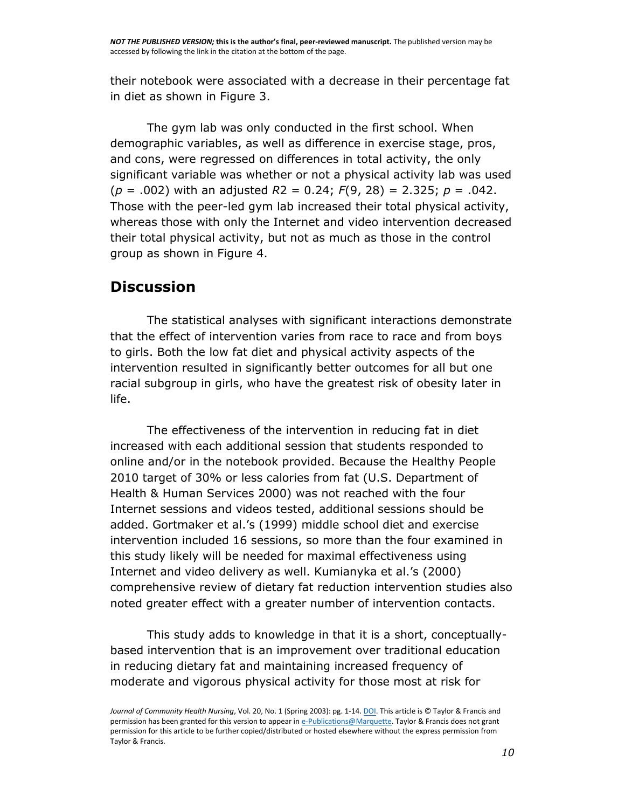their notebook were associated with a decrease in their percentage fat in diet as shown in Figure 3.

The gym lab was only conducted in the first school. When demographic variables, as well as difference in exercise stage, pros, and cons, were regressed on differences in total activity, the only significant variable was whether or not a physical activity lab was used (*p* = .002) with an adjusted *R*2 = 0.24; *F*(9, 28) = 2.325; *p* = .042. Those with the peer-led gym lab increased their total physical activity, whereas those with only the Internet and video intervention decreased their total physical activity, but not as much as those in the control group as shown in Figure 4.

## **Discussion**

The statistical analyses with significant interactions demonstrate that the effect of intervention varies from race to race and from boys to girls. Both the low fat diet and physical activity aspects of the intervention resulted in significantly better outcomes for all but one racial subgroup in girls, who have the greatest risk of obesity later in life.

The effectiveness of the intervention in reducing fat in diet increased with each additional session that students responded to online and/or in the notebook provided. Because the Healthy People 2010 target of 30% or less calories from fat (U.S. Department of Health & Human Services 2000) was not reached with the four Internet sessions and videos tested, additional sessions should be added. Gortmaker et al.'s (1999) middle school diet and exercise intervention included 16 sessions, so more than the four examined in this study likely will be needed for maximal effectiveness using Internet and video delivery as well. Kumianyka et al.'s (2000) comprehensive review of dietary fat reduction intervention studies also noted greater effect with a greater number of intervention contacts.

This study adds to knowledge in that it is a short, conceptuallybased intervention that is an improvement over traditional education in reducing dietary fat and maintaining increased frequency of moderate and vigorous physical activity for those most at risk for

*Journal of Community Health Nursing*, Vol. 20, No. 1 (Spring 2003): pg. 1-14[. DOI.](http://dx.doi.org/10.1207/S15327655JCHN2001_01) This article is © Taylor & Francis and permission has been granted for this version to appear i[n e-Publications@Marquette.](http://epublications.marquette.edu/) Taylor & Francis does not grant permission for this article to be further copied/distributed or hosted elsewhere without the express permission from Taylor & Francis.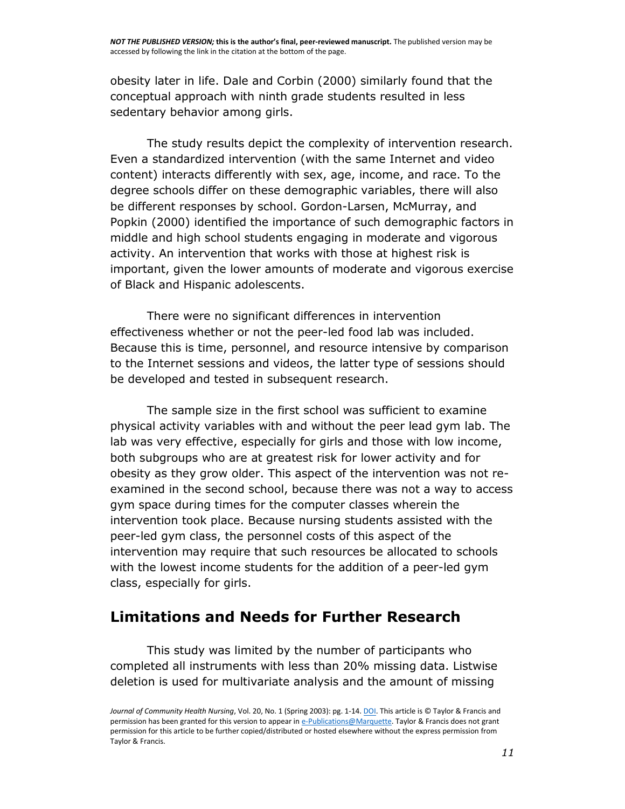obesity later in life. Dale and Corbin (2000) similarly found that the conceptual approach with ninth grade students resulted in less sedentary behavior among girls.

The study results depict the complexity of intervention research. Even a standardized intervention (with the same Internet and video content) interacts differently with sex, age, income, and race. To the degree schools differ on these demographic variables, there will also be different responses by school. Gordon-Larsen, McMurray, and Popkin (2000) identified the importance of such demographic factors in middle and high school students engaging in moderate and vigorous activity. An intervention that works with those at highest risk is important, given the lower amounts of moderate and vigorous exercise of Black and Hispanic adolescents.

There were no significant differences in intervention effectiveness whether or not the peer-led food lab was included. Because this is time, personnel, and resource intensive by comparison to the Internet sessions and videos, the latter type of sessions should be developed and tested in subsequent research.

The sample size in the first school was sufficient to examine physical activity variables with and without the peer lead gym lab. The lab was very effective, especially for girls and those with low income, both subgroups who are at greatest risk for lower activity and for obesity as they grow older. This aspect of the intervention was not reexamined in the second school, because there was not a way to access gym space during times for the computer classes wherein the intervention took place. Because nursing students assisted with the peer-led gym class, the personnel costs of this aspect of the intervention may require that such resources be allocated to schools with the lowest income students for the addition of a peer-led gym class, especially for girls.

## **Limitations and Needs for Further Research**

This study was limited by the number of participants who completed all instruments with less than 20% missing data. Listwise deletion is used for multivariate analysis and the amount of missing

*Journal of Community Health Nursing*, Vol. 20, No. 1 (Spring 2003): pg. 1-14[. DOI.](http://dx.doi.org/10.1207/S15327655JCHN2001_01) This article is © Taylor & Francis and permission has been granted for this version to appear i[n e-Publications@Marquette.](http://epublications.marquette.edu/) Taylor & Francis does not grant permission for this article to be further copied/distributed or hosted elsewhere without the express permission from Taylor & Francis.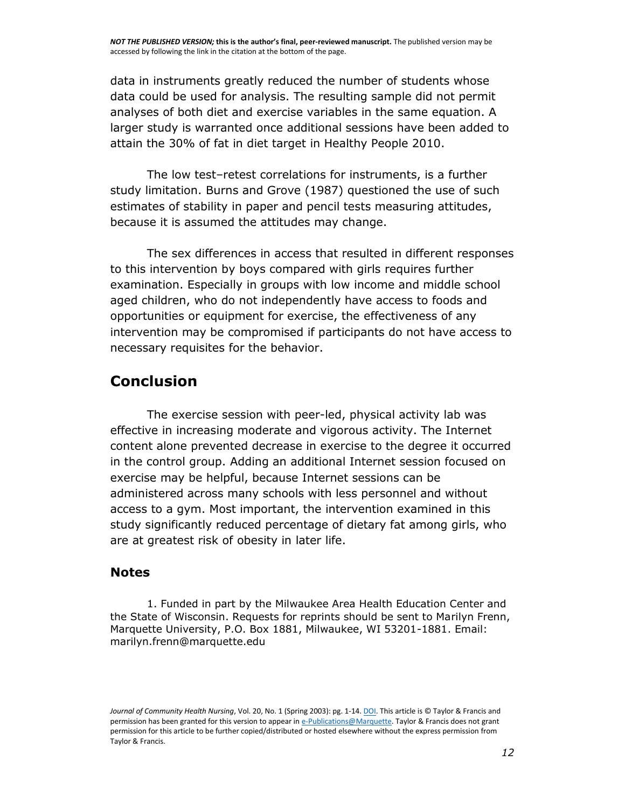data in instruments greatly reduced the number of students whose data could be used for analysis. The resulting sample did not permit analyses of both diet and exercise variables in the same equation. A larger study is warranted once additional sessions have been added to attain the 30% of fat in diet target in Healthy People 2010.

The low test–retest correlations for instruments, is a further study limitation. Burns and Grove (1987) questioned the use of such estimates of stability in paper and pencil tests measuring attitudes, because it is assumed the attitudes may change.

The sex differences in access that resulted in different responses to this intervention by boys compared with girls requires further examination. Especially in groups with low income and middle school aged children, who do not independently have access to foods and opportunities or equipment for exercise, the effectiveness of any intervention may be compromised if participants do not have access to necessary requisites for the behavior.

## **Conclusion**

The exercise session with peer-led, physical activity lab was effective in increasing moderate and vigorous activity. The Internet content alone prevented decrease in exercise to the degree it occurred in the control group. Adding an additional Internet session focused on exercise may be helpful, because Internet sessions can be administered across many schools with less personnel and without access to a gym. Most important, the intervention examined in this study significantly reduced percentage of dietary fat among girls, who are at greatest risk of obesity in later life.

#### **Notes**

1. Funded in part by the Milwaukee Area Health Education Center and the State of Wisconsin. Requests for reprints should be sent to Marilyn Frenn, Marquette University, P.O. Box 1881, Milwaukee, WI 53201-1881. Email: marilyn.frenn@marquette.edu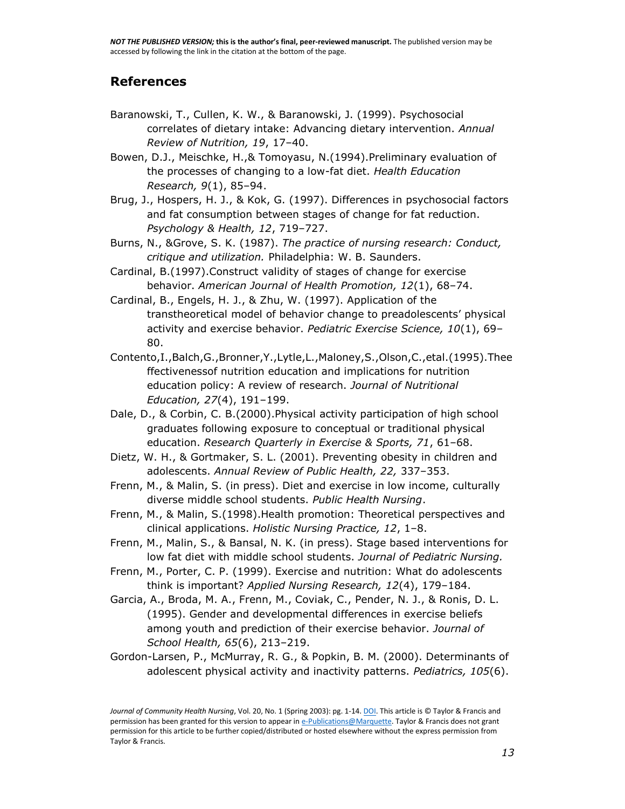#### **References**

- Baranowski, T., Cullen, K. W., & Baranowski, J. (1999). Psychosocial correlates of dietary intake: Advancing dietary intervention. *Annual Review of Nutrition, 19*, 17–40.
- Bowen, D.J., Meischke, H.,& Tomoyasu, N.(1994).Preliminary evaluation of the processes of changing to a low-fat diet. *Health Education Research, 9*(1), 85–94.
- Brug, J., Hospers, H. J., & Kok, G. (1997). Differences in psychosocial factors and fat consumption between stages of change for fat reduction. *Psychology & Health, 12*, 719–727.
- Burns, N., &Grove, S. K. (1987). *The practice of nursing research: Conduct, critique and utilization.* Philadelphia: W. B. Saunders.
- Cardinal, B.(1997).Construct validity of stages of change for exercise behavior. *American Journal of Health Promotion, 12*(1), 68–74.
- Cardinal, B., Engels, H. J., & Zhu, W. (1997). Application of the transtheoretical model of behavior change to preadolescents' physical activity and exercise behavior. *Pediatric Exercise Science, 10*(1), 69– 80.
- Contento,I.,Balch,G.,Bronner,Y.,Lytle,L.,Maloney,S.,Olson,C.,etal.(1995).Thee ffectivenessof nutrition education and implications for nutrition education policy: A review of research. *Journal of Nutritional Education, 27*(4), 191–199.
- Dale, D., & Corbin, C. B.(2000).Physical activity participation of high school graduates following exposure to conceptual or traditional physical education. *Research Quarterly in Exercise & Sports, 71*, 61–68.
- Dietz, W. H., & Gortmaker, S. L. (2001). Preventing obesity in children and adolescents. *Annual Review of Public Health, 22,* 337–353.
- Frenn, M., & Malin, S. (in press). Diet and exercise in low income, culturally diverse middle school students. *Public Health Nursing*.
- Frenn, M., & Malin, S.(1998).Health promotion: Theoretical perspectives and clinical applications. *Holistic Nursing Practice, 12*, 1–8.
- Frenn, M., Malin, S., & Bansal, N. K. (in press). Stage based interventions for low fat diet with middle school students. *Journal of Pediatric Nursing.*
- Frenn, M., Porter, C. P. (1999). Exercise and nutrition: What do adolescents think is important? *Applied Nursing Research, 12*(4), 179–184.
- Garcia, A., Broda, M. A., Frenn, M., Coviak, C., Pender, N. J., & Ronis, D. L. (1995). Gender and developmental differences in exercise beliefs among youth and prediction of their exercise behavior. *Journal of School Health, 65*(6), 213–219.
- Gordon-Larsen, P., McMurray, R. G., & Popkin, B. M. (2000). Determinants of adolescent physical activity and inactivity patterns. *Pediatrics, 105*(6).

*Journal of Community Health Nursing*, Vol. 20, No. 1 (Spring 2003): pg. 1-14[. DOI.](http://dx.doi.org/10.1207/S15327655JCHN2001_01) This article is © Taylor & Francis and permission has been granted for this version to appear i[n e-Publications@Marquette.](http://epublications.marquette.edu/) Taylor & Francis does not grant permission for this article to be further copied/distributed or hosted elsewhere without the express permission from Taylor & Francis.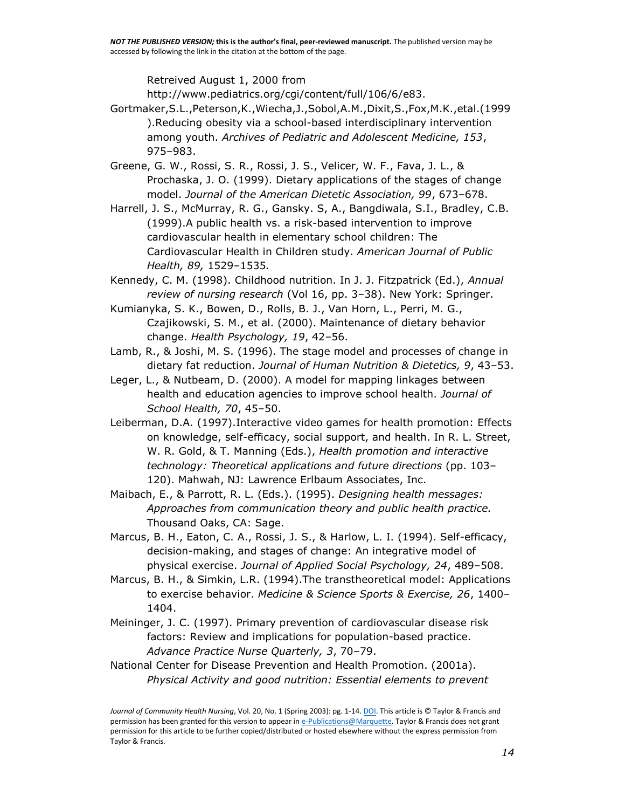Retreived August 1, 2000 from

http://www.pediatrics.org/cgi/content/full/106/6/e83.

- Gortmaker,S.L.,Peterson,K.,Wiecha,J.,Sobol,A.M.,Dixit,S.,Fox,M.K.,etal.(1999 ).Reducing obesity via a school-based interdisciplinary intervention among youth. *Archives of Pediatric and Adolescent Medicine, 153*, 975–983.
- Greene, G. W., Rossi, S. R., Rossi, J. S., Velicer, W. F., Fava, J. L., & Prochaska, J. O. (1999). Dietary applications of the stages of change model. *Journal of the American Dietetic Association, 99*, 673–678.
- Harrell, J. S., McMurray, R. G., Gansky. S, A., Bangdiwala, S.I., Bradley, C.B. (1999).A public health vs. a risk-based intervention to improve cardiovascular health in elementary school children: The Cardiovascular Health in Children study. *American Journal of Public Health, 89,* 1529–1535*.*
- Kennedy, C. M. (1998). Childhood nutrition. In J. J. Fitzpatrick (Ed.), *Annual review of nursing research* (Vol 16, pp. 3–38). New York: Springer.
- Kumianyka, S. K., Bowen, D., Rolls, B. J., Van Horn, L., Perri, M. G., Czajikowski, S. M., et al. (2000). Maintenance of dietary behavior change. *Health Psychology, 19*, 42–56.
- Lamb, R., & Joshi, M. S. (1996). The stage model and processes of change in dietary fat reduction. *Journal of Human Nutrition & Dietetics, 9*, 43–53.
- Leger, L., & Nutbeam, D. (2000). A model for mapping linkages between health and education agencies to improve school health. *Journal of School Health, 70*, 45–50.
- Leiberman, D.A. (1997).Interactive video games for health promotion: Effects on knowledge, self-efficacy, social support, and health. In R. L. Street, W. R. Gold, & T. Manning (Eds.), *Health promotion and interactive technology: Theoretical applications and future directions* (pp. 103– 120). Mahwah, NJ: Lawrence Erlbaum Associates, Inc.
- Maibach, E., & Parrott, R. L. (Eds.). (1995). *Designing health messages: Approaches from communication theory and public health practice.*  Thousand Oaks, CA: Sage.
- Marcus, B. H., Eaton, C. A., Rossi, J. S., & Harlow, L. I. (1994). Self-efficacy, decision-making, and stages of change: An integrative model of physical exercise. *Journal of Applied Social Psychology, 24*, 489–508.
- Marcus, B. H., & Simkin, L.R. (1994).The transtheoretical model: Applications to exercise behavior. *Medicine & Science Sports & Exercise, 26*, 1400– 1404.
- Meininger, J. C. (1997). Primary prevention of cardiovascular disease risk factors: Review and implications for population-based practice. *Advance Practice Nurse Quarterly, 3*, 70–79.
- National Center for Disease Prevention and Health Promotion. (2001a). *Physical Activity and good nutrition: Essential elements to prevent*

*Journal of Community Health Nursing*, Vol. 20, No. 1 (Spring 2003): pg. 1-14[. DOI.](http://dx.doi.org/10.1207/S15327655JCHN2001_01) This article is © Taylor & Francis and permission has been granted for this version to appear i[n e-Publications@Marquette.](http://epublications.marquette.edu/) Taylor & Francis does not grant permission for this article to be further copied/distributed or hosted elsewhere without the express permission from Taylor & Francis.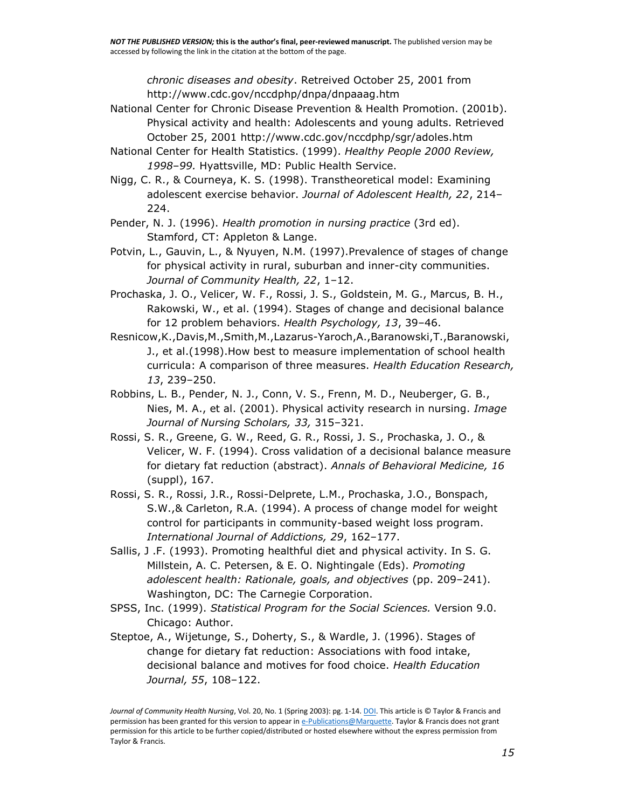*chronic diseases and obesity*. Retreived October 25, 2001 from http://www.cdc.gov/nccdphp/dnpa/dnpaaag.htm

- National Center for Chronic Disease Prevention & Health Promotion. (2001b). Physical activity and health: Adolescents and young adults. Retrieved October 25, 2001 http://www.cdc.gov/nccdphp/sgr/adoles.htm
- National Center for Health Statistics. (1999). *Healthy People 2000 Review, 1998*–*99.* Hyattsville, MD: Public Health Service.
- Nigg, C. R., & Courneya, K. S. (1998). Transtheoretical model: Examining adolescent exercise behavior. *Journal of Adolescent Health, 22*, 214– 224.
- Pender, N. J. (1996). *Health promotion in nursing practice* (3rd ed). Stamford, CT: Appleton & Lange.
- Potvin, L., Gauvin, L., & Nyuyen, N.M. (1997).Prevalence of stages of change for physical activity in rural, suburban and inner-city communities. *Journal of Community Health, 22*, 1–12.
- Prochaska, J. O., Velicer, W. F., Rossi, J. S., Goldstein, M. G., Marcus, B. H., Rakowski, W., et al. (1994). Stages of change and decisional balance for 12 problem behaviors. *Health Psychology, 13*, 39–46.
- Resnicow,K.,Davis,M.,Smith,M.,Lazarus-Yaroch,A.,Baranowski,T.,Baranowski, J., et al.(1998).How best to measure implementation of school health curricula: A comparison of three measures. *Health Education Research, 13*, 239–250.
- Robbins, L. B., Pender, N. J., Conn, V. S., Frenn, M. D., Neuberger, G. B., Nies, M. A., et al. (2001). Physical activity research in nursing. *Image Journal of Nursing Scholars, 33,* 315–321.
- Rossi, S. R., Greene, G. W., Reed, G. R., Rossi, J. S., Prochaska, J. O., & Velicer, W. F. (1994). Cross validation of a decisional balance measure for dietary fat reduction (abstract). *Annals of Behavioral Medicine, 16*  (suppl), 167.
- Rossi, S. R., Rossi, J.R., Rossi-Delprete, L.M., Prochaska, J.O., Bonspach, S.W.,& Carleton, R.A. (1994). A process of change model for weight control for participants in community-based weight loss program. *International Journal of Addictions, 29*, 162–177.
- Sallis, J .F. (1993). Promoting healthful diet and physical activity. In S. G. Millstein, A. C. Petersen, & E. O. Nightingale (Eds). *Promoting adolescent health: Rationale, goals, and objectives* (pp. 209–241). Washington, DC: The Carnegie Corporation.
- SPSS, Inc. (1999). *Statistical Program for the Social Sciences.* Version 9.0. Chicago: Author.
- Steptoe, A., Wijetunge, S., Doherty, S., & Wardle, J. (1996). Stages of change for dietary fat reduction: Associations with food intake, decisional balance and motives for food choice. *Health Education Journal, 55*, 108–122.

*Journal of Community Health Nursing*, Vol. 20, No. 1 (Spring 2003): pg. 1-14[. DOI.](http://dx.doi.org/10.1207/S15327655JCHN2001_01) This article is © Taylor & Francis and permission has been granted for this version to appear i[n e-Publications@Marquette.](http://epublications.marquette.edu/) Taylor & Francis does not grant permission for this article to be further copied/distributed or hosted elsewhere without the express permission from Taylor & Francis.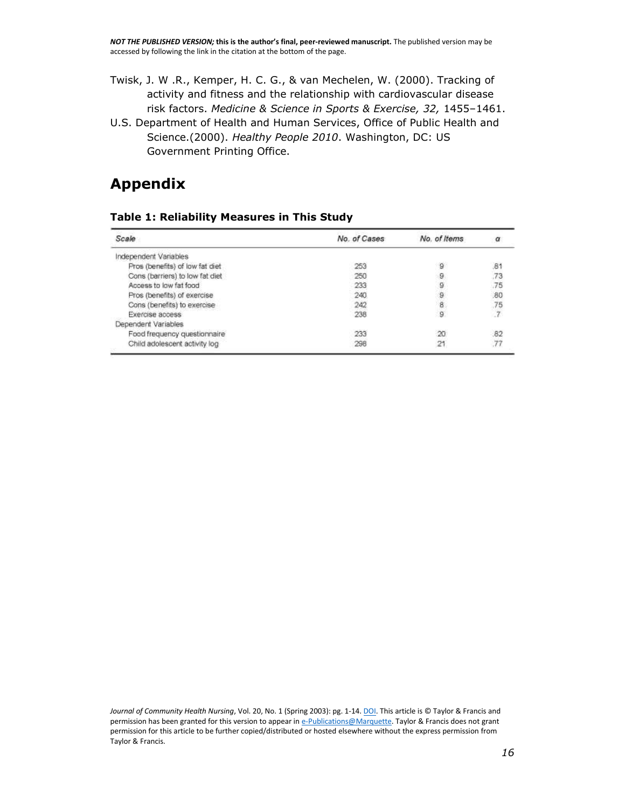- Twisk, J. W .R., Kemper, H. C. G., & van Mechelen, W. (2000). Tracking of activity and fitness and the relationship with cardiovascular disease risk factors. *Medicine & Science in Sports & Exercise, 32,* 1455–1461.
- U.S. Department of Health and Human Services, Office of Public Health and Science.(2000). *Healthy People 2010*. Washington, DC: US Government Printing Office.

## **Appendix**

| <b>Table 1: Reliability Measures in This Study</b> |  |  |  |
|----------------------------------------------------|--|--|--|
|----------------------------------------------------|--|--|--|

| Scale                           | No. of Cases | No. of Items | $\alpha$       |
|---------------------------------|--------------|--------------|----------------|
| Independent Variables           |              |              |                |
| Pros (benefits) of low fat diet | 253          | g            |                |
| Cons (barriers) to low fat diet | 250          | 9            | $.81$<br>$.73$ |
| Access to low fat food          | 233          | g            | .75            |
| Pros (benefits) of exercise     | 240          | 9            | 80             |
| Cons (benefits) to exercise     | 242          | 8            | $\frac{75}{7}$ |
| Exercise access                 | 238          | ġ,           |                |
| Dependent Variables             |              |              |                |
| Food frequency questionnaire    | 233          | 20           | .82            |
| Child adolescent activity log   | 298          | $^{21}$      | .77            |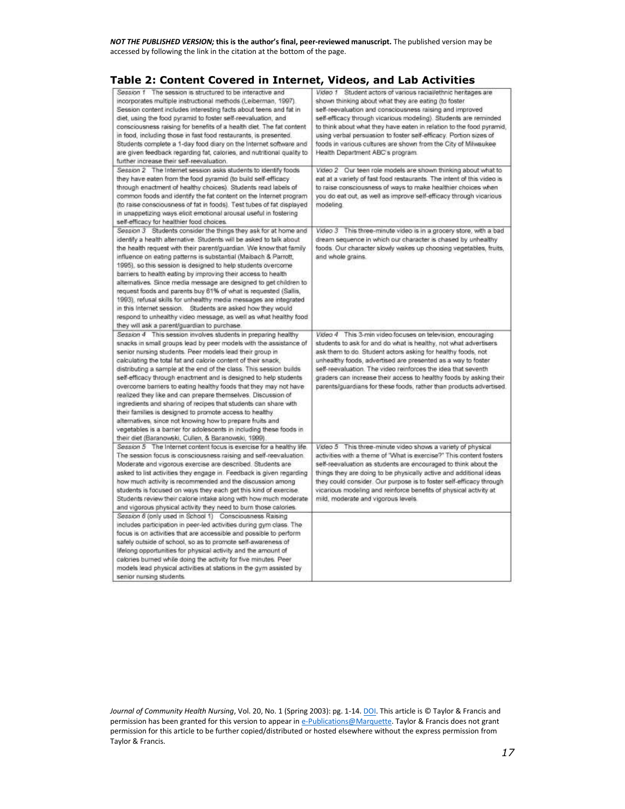#### **Table 2: Content Covered in Internet, Videos, and Lab Activities**

| Session 1 The session is structured to be interactive and<br>incorporates multiple instructional methods (Leiberman, 1997).<br>Session content includes interesting facts about teens and fat in<br>diet, using the food pyramid to foster self-reevaluation, and<br>consciousness raising for benefits of a health diet. The fat content<br>in food, including those in fast food restaurants, is presented.<br>Students complete a 1-day food diary on the Internet software and<br>are given feedback regarding fat, calories, and nutritional quality to<br>further increase their self-reevaluation.                                                                                                                                                                                                                                                                | Video 1 Student actors of various racial/ethnic heritages are<br>shown thinking about what they are eating (to foster<br>self-reevaluation and consciousness raising and improved<br>self-efficacy through vicarious modeling). Students are reminded<br>to think about what they have eaten in relation to the food pyramid,<br>using verbal persuasion to foster self-efficacy. Portion sizes of<br>foods in various cultures are shown from the City of Milwaukee<br>Health Department ABC's program. |
|--------------------------------------------------------------------------------------------------------------------------------------------------------------------------------------------------------------------------------------------------------------------------------------------------------------------------------------------------------------------------------------------------------------------------------------------------------------------------------------------------------------------------------------------------------------------------------------------------------------------------------------------------------------------------------------------------------------------------------------------------------------------------------------------------------------------------------------------------------------------------|----------------------------------------------------------------------------------------------------------------------------------------------------------------------------------------------------------------------------------------------------------------------------------------------------------------------------------------------------------------------------------------------------------------------------------------------------------------------------------------------------------|
| Session 2 The Internet session asks students to identify foods<br>they have eaten from the food pyramid (to build self-efficacy<br>through enactment of healthy choices). Students read labels of<br>common foods and identify the fat content on the Internet program<br>(to raise consciousness of fat in foods). Test tubes of fat displayed<br>in unappetizing ways elicit emotional arousal useful in fostering<br>self-efficacy for healthier food choices.                                                                                                                                                                                                                                                                                                                                                                                                        | Video 2 Our teen role models are shown thinking about what to<br>eat at a variety of fast food restaurants. The intent of this video is<br>to raise consciousness of ways to make healthier choices when<br>you do eat out, as well as improve self-efficacy through vicarious<br>modeling.                                                                                                                                                                                                              |
| Session 3 Students consider the things they ask for at home and<br>identify a health alternative. Students will be asked to talk about<br>the health request with their parent/guardian. We know that family<br>influence on eating patterns is substantial (Maibach & Parrott,<br>1995), so this session is designed to help students overcome<br>barriers to health eating by improving their access to health<br>alternatives. Since media message are designed to get children to<br>request foods and parents buy 61% of what is requested (Sallis,<br>1993), refusal skills for unhealthy media messages are integrated<br>in this Internet session. Students are asked how they would<br>respond to unhealthy video message, as well as what healthy food<br>they will ask a parent/guardian to purchase.                                                         | Video 3 This three-minute video is in a grocery store, with a bad<br>dream sequence in which our character is chased by unhealthy<br>foods. Our character slowly wakes up choosing vegetables, fruits,<br>and whole grains.                                                                                                                                                                                                                                                                              |
| Session 4 This session involves students in preparing healthy<br>snacks in small groups lead by peer models with the assistance of<br>senior nursing students. Peer models lead their group in<br>calculating the total fat and calorie content of their snack,<br>distributing a sample at the end of the class. This session builds<br>self-efficacy through enactment and is designed to help students<br>overcome barriers to eating healthy foods that they may not have<br>realized they like and can prepare themselves. Discussion of<br>ingredients and sharing of recipes that students can share with<br>their families is designed to promote access to healthy.<br>alternatives, since not knowing how to prepare fruits and<br>vegetables is a barrier for adolescents in including these foods in<br>their diet (Baranowski, Cullen, & Baranowski, 1999). | Video 4 This 3-min video focuses on television, encouraging<br>students to ask for and do what is healthy, not what advertisers<br>ask them to do. Student actors asking for healthy foods, not<br>unhealthy foods, advertised are presented as a way to foster<br>self-reevaluation. The video reinforces the idea that seventh<br>graders can increase their access to healthy foods by asking their<br>parents/guardians for these foods, rather than products advertised.                            |
| Session 5 The Internet content focus is exercise for a healthy life.<br>The session focus is consciousness raising and self-reevaluation.<br>Moderate and vigorous exercise are described. Students are<br>asked to list activities they engage in. Feedback is given regarding<br>how much activity is recommended and the discussion among<br>students is focused on ways they each get this kind of exercise.<br>Students review their calorie intake along with how much moderate<br>and vigorous physical activity they need to burn those calories.                                                                                                                                                                                                                                                                                                                | Video 5 This three-minute video shows a variety of physical<br>activities with a theme of 'What is exercise?' This content fosters<br>self-reevaluation as students are encouraged to think about the<br>things they are doing to be physically active and additional ideas<br>they could consider. Our purpose is to foster self-efficacy through<br>vicarious modeling and reinforce benefits of physical activity at<br>mild, moderate and vigorous levels.                                           |
| Session 6 (only used in School 1) Consciousness Raising<br>includes participation in peer-led activities during gym class. The<br>focus is on activities that are accessible and possible to perform<br>safely outside of school, so as to promote self-awareness of<br>ifelong opportunities for physical activity and the amount of<br>calories burned while doing the activity for five minutes. Peer<br>models lead physical activities at stations in the gym assisted by<br>senior nursing students.                                                                                                                                                                                                                                                                                                                                                               |                                                                                                                                                                                                                                                                                                                                                                                                                                                                                                          |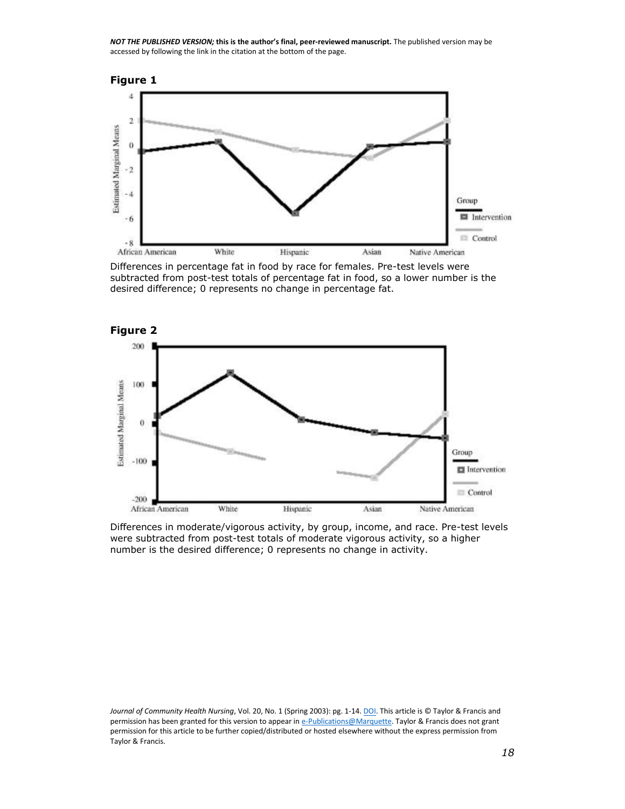



Differences in percentage fat in food by race for females. Pre-test levels were subtracted from post-test totals of percentage fat in food, so a lower number is the desired difference; 0 represents no change in percentage fat.



Differences in moderate/vigorous activity, by group, income, and race. Pre-test levels were subtracted from post-test totals of moderate vigorous activity, so a higher number is the desired difference; 0 represents no change in activity.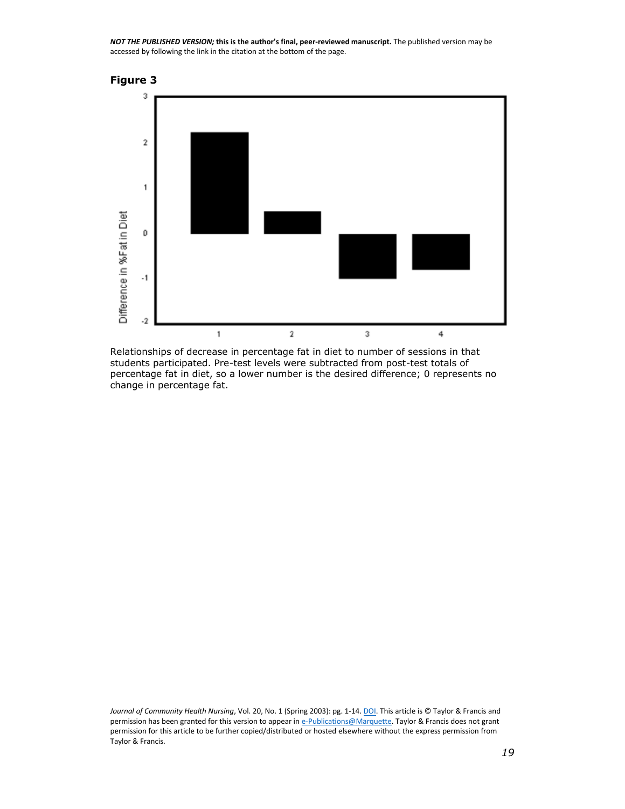



Relationships of decrease in percentage fat in diet to number of sessions in that students participated. Pre-test levels were subtracted from post-test totals of percentage fat in diet, so a lower number is the desired difference; 0 represents no change in percentage fat.